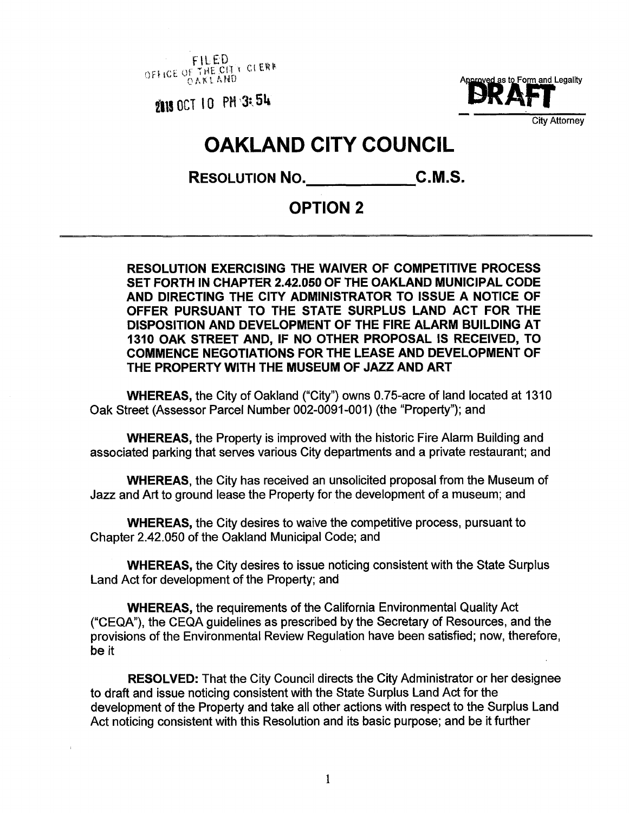FILED<br>THE CITY CLERK OFFICE OF THE AND



City Attorney

## **OAKLAND CITY COUNCIL**

RESOLUTION NO. C.M.S.

## **OPTION 2**

**RESOLUTION EXERCISING THE WAIVER OF COMPETITIVE PROCESS SET FORTH IN CHAPTER 2.42.050 OF THE OAKLAND MUNICIPAL CODE AND DIRECTING THE CITY ADMINISTRATOR TO ISSUE A NOTICE OF OFFER PURSUANT TO THE STATE SURPLUS LAND ACT FOR THE DISPOSITION AND DEVELOPMENT OF THE FIRE ALARM BUILDING AT 1310 OAK STREET AND, IF NO OTHER PROPOSAL IS RECEIVED, TO COMMENCE NEGOTIATIONS FOR THE LEASE AND DEVELOPMENT OF THE PROPERTY WITH THE MUSEUM OF JAZZ AND ART**

**WHEREAS,** the City of Oakland ("City") owns 0.75-acre of land located at 1310 Oak Street (Assessor Parcel Number 002-0091-001) (the "Property"); and

**WHEREAS,** the Property is improved with the historic Fire Alarm Building and associated parking that serves various City departments and a private restaurant; and

**WHEREAS,** the City has received an unsolicited proposal from the Museum of Jazz and Art to ground lease the Property for the development of a museum; and

**WHEREAS,** the City desires to waive the competitive process, pursuant to Chapter 2.42.050 of the Oakland Municipal Code; and

**WHEREAS,** the City desires to issue noticing consistent with the State Surplus Land Act for development of the Property; and

**WHEREAS,** the requirements of the California Environmental Quality Act ("CEQA"), the CEQA guidelines as prescribed by the Secretary of Resources, and the provisions of the Environmental Review Regulation have been satisfied; now, therefore be it

**RESOLVED:** That the City Council directs the City Administrator or her designee to draft and issue noticing consistent with the State Surplus Land Act for the development of the Property and take all other actions with respect to the Surplus Land Act noticing consistent with this Resolution and its basic purpose; and be it further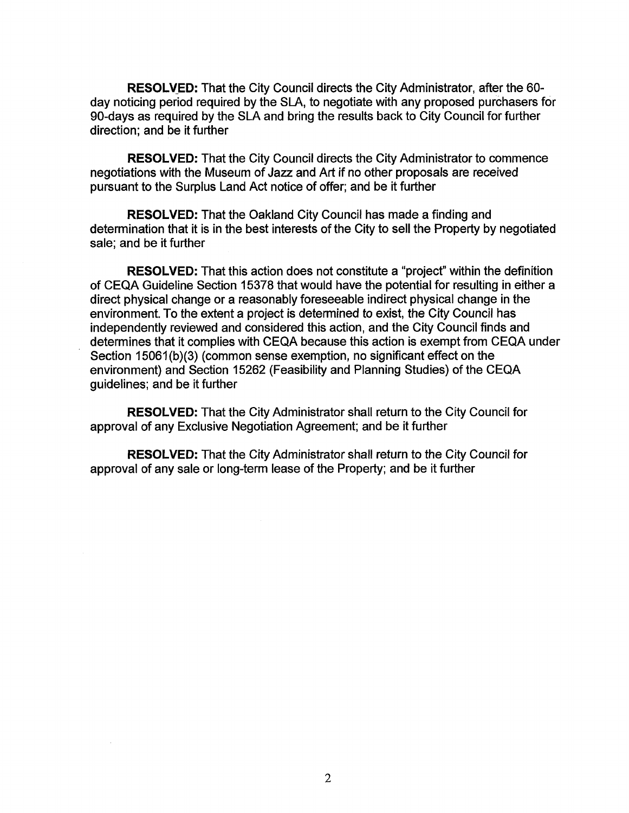**RESOLVED:** That the City Council directs the City Administrator, after the 60 day noticing period required by the SLA, to negotiate with any proposed purchasers for 90-days as required by the SLA and bring the results back to City Council for further direction; and be it further

**RESOLVED:** That the City Council directs the City Administrator to commence negotiations with the Museum of Jazz and Art if no other proposals are received pursuant to the Surplus Land Act notice of offer; and be it further

**RESOLVED:** That the Oakland City Council has made a finding and determination that it is in the best interests of the City to sell the Property by negotiated sale; and be it further

**RESOLVED:** That this action does not constitute a "project" within the definition of CEQA Guideline Section 15378 that would have the potential for resulting in either a direct physical change or a reasonably foreseeable indirect physical change in the environment. To the extent a project is determined to exist, the City Council has independently reviewed and considered this action, and the City Council finds and determines that it complies with CEQA because this action is exempt from CEQA under Section 15061(b)(3) (common sense exemption, no significant effect on the environment) and Section 15262 (Feasibility and Planning Studies) of the CEQA guidelines; and be it further

**RESOLVED:** That the City Administrator shall return to the City Council for approval of any Exclusive Negotiation Agreement; and be it further

**RESOLVED:** That the City Administrator shall return to the City Council for approval of any sale or long-term lease of the Property; and be it further